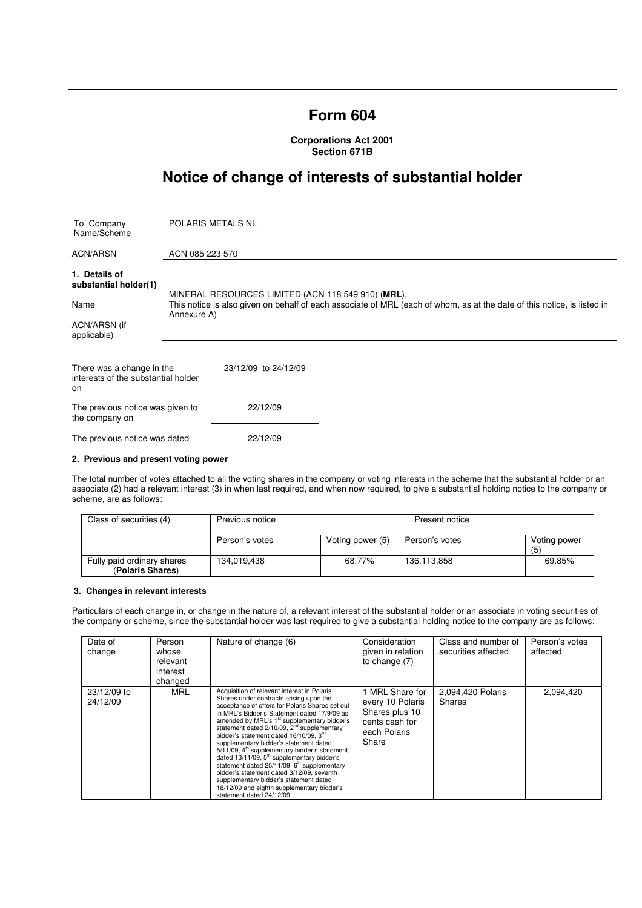# **Form 604**

**Corporations Act 2001 Section 671B** 

# **Notice of change of interests of substantial holder**

| To Company<br>Name/Scheme                                              | <b>POLARIS METALS NL</b>                                                                                                               |  |  |
|------------------------------------------------------------------------|----------------------------------------------------------------------------------------------------------------------------------------|--|--|
| <b>ACN/ARSN</b>                                                        | ACN 085 223 570                                                                                                                        |  |  |
| 1. Details of<br>substantial holder(1)                                 | MINERAL RESOURCES LIMITED (ACN 118 549 910) (MRL).                                                                                     |  |  |
| Name                                                                   | This notice is also given on behalf of each associate of MRL (each of whom, as at the date of this notice, is listed in<br>Annexure A) |  |  |
| ACN/ARSN (if<br>applicable)                                            |                                                                                                                                        |  |  |
| There was a change in the<br>interests of the substantial holder<br>on | 23/12/09 to 24/12/09                                                                                                                   |  |  |
| The previous notice was given to<br>the company on                     | 22/12/09                                                                                                                               |  |  |
| The previous notice was dated                                          | 22/12/09                                                                                                                               |  |  |

### **2. Previous and present voting power**

The total number of votes attached to all the voting shares in the company or voting interests in the scheme that the substantial holder or an associate (2) had a relevant interest (3) in when last required, and when now required, to give a substantial holding notice to the company or scheme, are as follows:

| Class of securities (4)                        | Previous notice |                  | Present notice |                     |
|------------------------------------------------|-----------------|------------------|----------------|---------------------|
|                                                | Person's votes  | Voting power (5) | Person's votes | Voting power<br>(5) |
| Fully paid ordinary shares<br>(Polaris Shares) | 134.019.438     | 68.77%           | 136.113.858    | 69.85%              |

# **3. Changes in relevant interests**

Particulars of each change in, or change in the nature of, a relevant interest of the substantial holder or an associate in voting securities of the company or scheme, since the substantial holder was last required to give a substantial holding notice to the company are as follows:

| Date of<br>change       | Person<br>whose<br>relevant<br>interest<br>changed | Nature of change (6)                                                                                                                                                                                                                                                                                                                                                                                                                                                                                                                                                                                                                                                                                                                          | Consideration<br>given in relation<br>to change $(7)$                                                 | Class and number of<br>securities affected | Person's votes<br>affected |
|-------------------------|----------------------------------------------------|-----------------------------------------------------------------------------------------------------------------------------------------------------------------------------------------------------------------------------------------------------------------------------------------------------------------------------------------------------------------------------------------------------------------------------------------------------------------------------------------------------------------------------------------------------------------------------------------------------------------------------------------------------------------------------------------------------------------------------------------------|-------------------------------------------------------------------------------------------------------|--------------------------------------------|----------------------------|
| 23/12/09 to<br>24/12/09 | MRL                                                | Acquisition of relevant interest in Polaris<br>Shares under contracts arising upon the<br>acceptance of offers for Polaris Shares set out<br>in MRL's Bidder's Statement dated 17/9/09 as<br>amended by MRL's 1 <sup>st</sup> supplementary bidder's<br>statement dated $2/10/09$ , $2nd$ supplementary<br>bidder's statement dated 16/10/09. 3 <sup>rd</sup><br>supplementary bidder's statement dated<br>$5/11/09$ , $4th$ supplementary bidder's statement<br>dated 13/11/09, 5 <sup>th</sup> supplementary bidder's<br>statement dated $25/11/09$ , $6th$ supplementary<br>bidder's statement dated 3/12/09, seventh<br>supplementary bidder's statement dated<br>18/12/09 and eighth supplementary bidder's<br>statement dated 24/12/09. | <b>MRL Share for</b><br>every 10 Polaris<br>Shares plus 10<br>cents cash for<br>each Polaris<br>Share | 2,094,420 Polaris<br>Shares                | 2,094,420                  |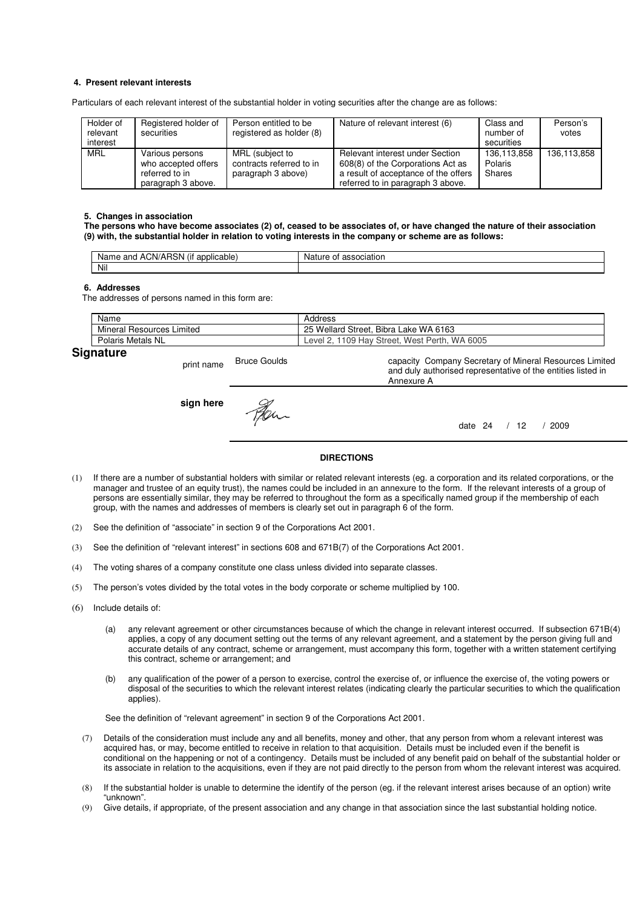# **4. Present relevant interests**

Particulars of each relevant interest of the substantial holder in voting securities after the change are as follows:

| Holder of<br>relevant<br>interest | Registered holder of<br>securities                                             | Person entitled to be<br>registered as holder (8)                 | Nature of relevant interest (6)                                                                                                                   | Class and<br>number of<br>securities | Person's<br>votes |
|-----------------------------------|--------------------------------------------------------------------------------|-------------------------------------------------------------------|---------------------------------------------------------------------------------------------------------------------------------------------------|--------------------------------------|-------------------|
| <b>MRL</b>                        | Various persons<br>who accepted offers<br>referred to in<br>paragraph 3 above. | MRL (subject to<br>contracts referred to in<br>paragraph 3 above) | Relevant interest under Section<br>608(8) of the Corporations Act as<br>a result of acceptance of the offers<br>referred to in paragraph 3 above. | 136,113,858<br>Polaris<br>Shares     | 136,113,858       |

#### **5. Changes in association**

**The persons who have become associates (2) of, ceased to be associates of, or have changed the nature of their association (9) with, the substantial holder in relation to voting interests in the company or scheme are as follows:** 

| $\cdots$<br>ימ<br>ACN/AH<br>and<br>licable:<br>Name<br>ווסו<br>$-1111$<br>. . | ciation<br>Nai.<br>nt |
|-------------------------------------------------------------------------------|-----------------------|
| Nil                                                                           |                       |

#### **6. Addresses**

The addresses of persons named in this form are:

| Name                                | Address                                               |
|-------------------------------------|-------------------------------------------------------|
| Mineral<br><b>Resources Limited</b> | . Bibra Lake WA 6163<br>25 Wellard Street.            |
| Polaris Metals NL                   | West Perth. \<br>WA 6005<br>1109 Hay Street.<br>Level |
| $\mathbf{C}$                        |                                                       |

Annexure A

# **Signature**

print name Bruce Goulds **sign here** Fer.

capacity Company Secretary of Mineral Resources Limited and duly authorised representative of the entities listed in

date 24 / 12 / 2009

### **DIRECTIONS**

- (1) If there are a number of substantial holders with similar or related relevant interests (eg. a corporation and its related corporations, or the manager and trustee of an equity trust), the names could be included in an annexure to the form. If the relevant interests of a group of persons are essentially similar, they may be referred to throughout the form as a specifically named group if the membership of each group, with the names and addresses of members is clearly set out in paragraph 6 of the form.
- (2) See the definition of "associate" in section 9 of the Corporations Act 2001.
- (3) See the definition of "relevant interest" in sections 608 and 671B(7) of the Corporations Act 2001.
- (4) The voting shares of a company constitute one class unless divided into separate classes.
- (5) The person's votes divided by the total votes in the body corporate or scheme multiplied by 100.
- (6) Include details of:
	- (a) any relevant agreement or other circumstances because of which the change in relevant interest occurred. If subsection 671B(4) applies, a copy of any document setting out the terms of any relevant agreement, and a statement by the person giving full and accurate details of any contract, scheme or arrangement, must accompany this form, together with a written statement certifying this contract, scheme or arrangement; and
	- (b) any qualification of the power of a person to exercise, control the exercise of, or influence the exercise of, the voting powers or disposal of the securities to which the relevant interest relates (indicating clearly the particular securities to which the qualification applies).

See the definition of "relevant agreement" in section 9 of the Corporations Act 2001.

- (7) Details of the consideration must include any and all benefits, money and other, that any person from whom a relevant interest was acquired has, or may, become entitled to receive in relation to that acquisition. Details must be included even if the benefit is conditional on the happening or not of a contingency. Details must be included of any benefit paid on behalf of the substantial holder or its associate in relation to the acquisitions, even if they are not paid directly to the person from whom the relevant interest was acquired.
- (8) If the substantial holder is unable to determine the identify of the person (eg. if the relevant interest arises because of an option) write "unknown".
- (9) Give details, if appropriate, of the present association and any change in that association since the last substantial holding notice.